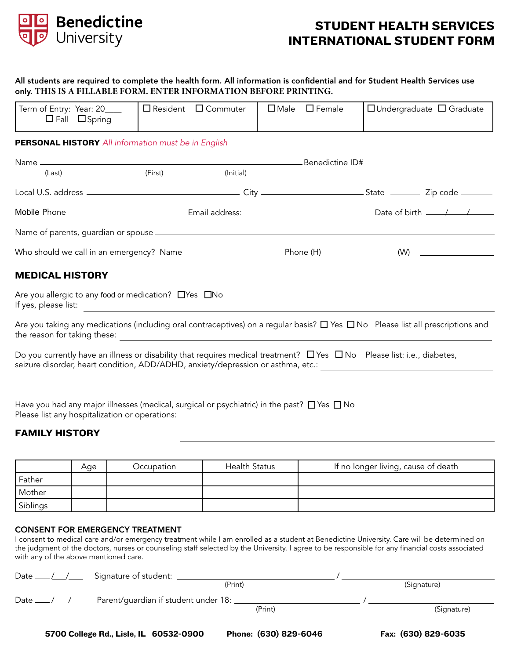

# STUDENT HEALTH SERVICES INTERNATIONAL STUDENT FORM

### All students are required to complete the health form. All information is confidential and for Student Health Services use only. **THIS IS A FILLABLE FORM. ENTER INFORMATION BEFORE PRINTING.**

| Term of Entry: Year: 20____<br>$\Box$ Fall $\Box$ Spring                                                                          | $\Box$ Resident $\Box$ Commuter |           | $\Box$ Male $\Box$ Female | $\Box$ Undergraduate $\Box$ Graduate                                                                                                      |
|-----------------------------------------------------------------------------------------------------------------------------------|---------------------------------|-----------|---------------------------|-------------------------------------------------------------------------------------------------------------------------------------------|
| <b>PERSONAL HISTORY</b> All information must be in English                                                                        |                                 |           |                           |                                                                                                                                           |
|                                                                                                                                   |                                 |           |                           |                                                                                                                                           |
| (Last)                                                                                                                            | (First)                         | (Initial) |                           |                                                                                                                                           |
|                                                                                                                                   |                                 |           |                           |                                                                                                                                           |
|                                                                                                                                   |                                 |           |                           |                                                                                                                                           |
| <b>MEDICAL HISTORY</b>                                                                                                            |                                 |           |                           |                                                                                                                                           |
| Are you allergic to any food or medication? $\Box$ Yes $\Box$ No                                                                  |                                 |           |                           |                                                                                                                                           |
|                                                                                                                                   |                                 |           |                           | Are you taking any medications (including oral contraceptives) on a regular basis? $\Box$ Yes $\Box$ No Please list all prescriptions and |
| Do you currently have an illness or disability that requires medical treatment? $\Box$ Yes $\Box$ No Please list: i.e., diabetes, |                                 |           |                           | seizure disorder, heart condition, ADD/ADHD, anxiety/depression or asthma, etc.:                                                          |
|                                                                                                                                   |                                 |           |                           |                                                                                                                                           |

Have you had any major illnesses (medical, surgical or psychiatric) in the past?  $\Box$  Yes  $\Box$  No Please list any hospitalization or operations:

## FAMILY HISTORY

|          | Age | Occupation | <b>Health Status</b> | If no longer living, cause of death |
|----------|-----|------------|----------------------|-------------------------------------|
| Father   |     |            |                      |                                     |
| Mother   |     |            |                      |                                     |
| Siblings |     |            |                      |                                     |

#### CONSENT FOR EMERGENCY TREATMENT

I consent to medical care and/or emergency treatment while I am enrolled as a student at Benedictine University. Care will be determined on the judgment of the doctors, nurses or counseling staff selected by the University. I agree to be responsible for any financial costs associated with any of the above mentioned care.

| Date $\_\_\_\_\_\_\_\_\_\_\_\$ | Signature of student:                |         |             |
|--------------------------------|--------------------------------------|---------|-------------|
|                                |                                      | (Print) | (Signature) |
| Date $\_\_\_\_\_\_\_\_\$       | Parent/guardian if student under 18: |         |             |
|                                |                                      | (Print) | (Signature) |
|                                |                                      |         |             |